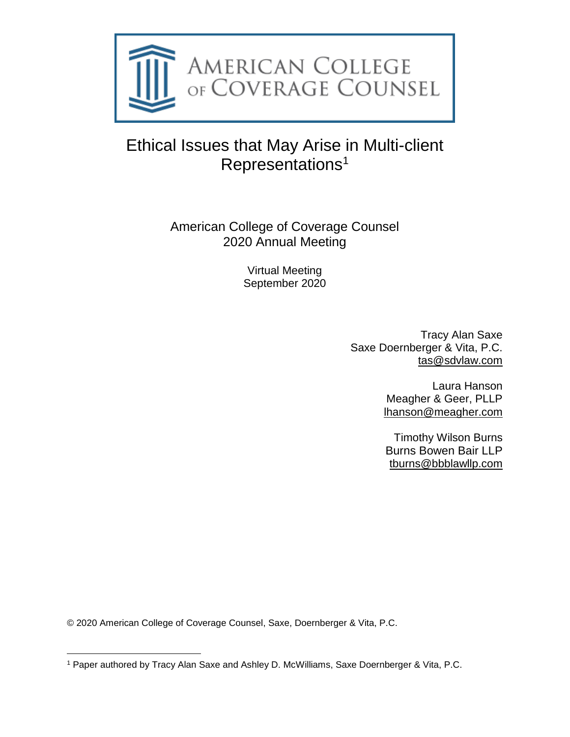

# Ethical Issues that May Arise in Multi-client Representations<sup>1</sup>

# American College of Coverage Counsel 2020 Annual Meeting

Virtual Meeting September 2020

> Tracy Alan Saxe Saxe Doernberger & Vita, P.C. [tas@sdvlaw.com](mailto:tas@sdvlaw.com)

> > Laura Hanson Meagher & Geer, PLLP [lhanson@meagher.com](mailto:lhanson@meagher.com)

Timothy Wilson Burns Burns Bowen Bair LLP [tburns@bbblawllp.com](mailto:tburns@bbblawllp.com)

© 2020 American College of Coverage Counsel, Saxe, Doernberger & Vita, P.C.

<sup>1</sup> Paper authored by Tracy Alan Saxe and Ashley D. McWilliams, Saxe Doernberger & Vita, P.C.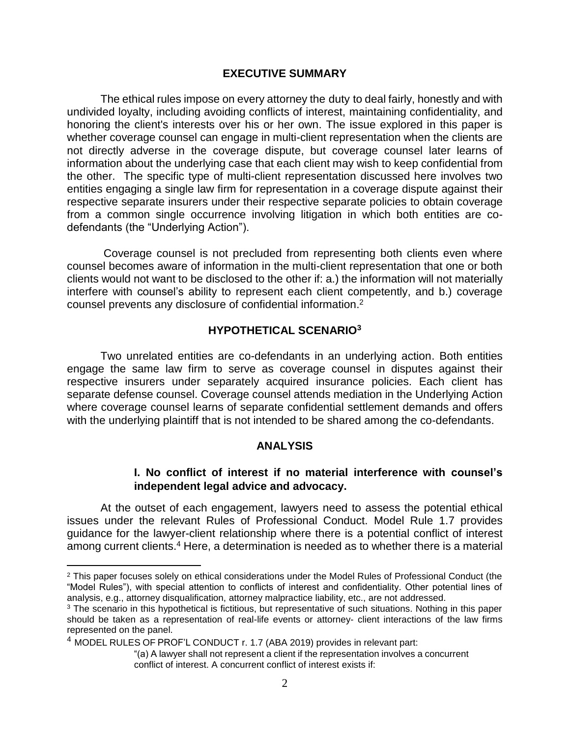#### **EXECUTIVE SUMMARY**

The ethical rules impose on every attorney the duty to deal fairly, honestly and with undivided loyalty, including avoiding conflicts of interest, maintaining confidentiality, and honoring the client's interests over his or her own. The issue explored in this paper is whether coverage counsel can engage in multi-client representation when the clients are not directly adverse in the coverage dispute, but coverage counsel later learns of information about the underlying case that each client may wish to keep confidential from the other. The specific type of multi-client representation discussed here involves two entities engaging a single law firm for representation in a coverage dispute against their respective separate insurers under their respective separate policies to obtain coverage from a common single occurrence involving litigation in which both entities are codefendants (the "Underlying Action").

Coverage counsel is not precluded from representing both clients even where counsel becomes aware of information in the multi-client representation that one or both clients would not want to be disclosed to the other if: a.) the information will not materially interfere with counsel's ability to represent each client competently, and b.) coverage counsel prevents any disclosure of confidential information. 2

#### **HYPOTHETICAL SCENARIO<sup>3</sup>**

Two unrelated entities are co-defendants in an underlying action. Both entities engage the same law firm to serve as coverage counsel in disputes against their respective insurers under separately acquired insurance policies. Each client has separate defense counsel. Coverage counsel attends mediation in the Underlying Action where coverage counsel learns of separate confidential settlement demands and offers with the underlying plaintiff that is not intended to be shared among the co-defendants.

#### **ANALYSIS**

### **I. No conflict of interest if no material interference with counsel's independent legal advice and advocacy.**

At the outset of each engagement, lawyers need to assess the potential ethical issues under the relevant Rules of Professional Conduct. Model Rule 1.7 provides guidance for the lawyer-client relationship where there is a potential conflict of interest among current clients.<sup>4</sup> Here, a determination is needed as to whether there is a material

l

<sup>&</sup>lt;sup>2</sup> This paper focuses solely on ethical considerations under the Model Rules of Professional Conduct (the "Model Rules"), with special attention to conflicts of interest and confidentiality. Other potential lines of analysis, e.g., attorney disqualification, attorney malpractice liability, etc., are not addressed.

<sup>&</sup>lt;sup>3</sup> The scenario in this hypothetical is fictitious, but representative of such situations. Nothing in this paper should be taken as a representation of real-life events or attorney- client interactions of the law firms represented on the panel.

<sup>&</sup>lt;sup>4</sup> MODEL RULES OF PROF'L CONDUCT r. 1.7 (ABA 2019) provides in relevant part:

<sup>&</sup>quot;(a) A lawyer shall not represent a client if the representation involves a concurrent conflict of interest. A concurrent conflict of interest exists if: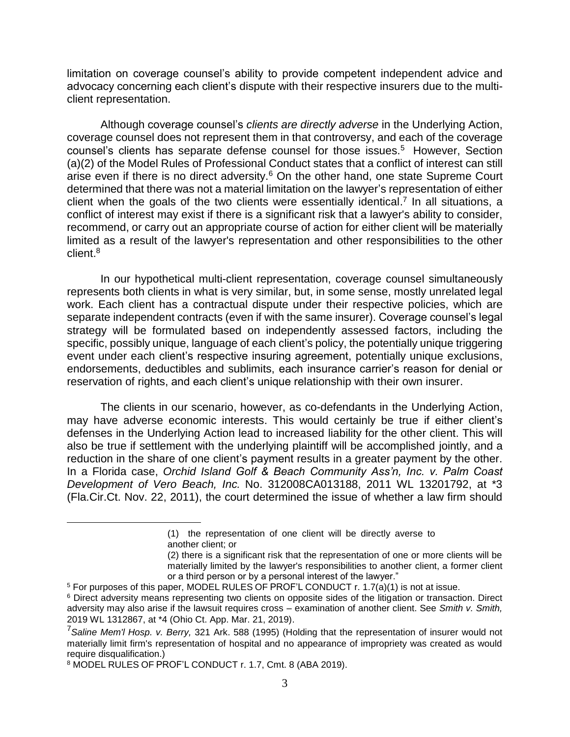limitation on coverage counsel's ability to provide competent independent advice and advocacy concerning each client's dispute with their respective insurers due to the multiclient representation.

Although coverage counsel's *clients are directly adverse* in the Underlying Action, coverage counsel does not represent them in that controversy, and each of the coverage counsel's clients has separate defense counsel for those issues.<sup>5</sup> However, Section (a)(2) of the Model Rules of Professional Conduct states that a conflict of interest can still arise even if there is no direct adversity.<sup>6</sup> On the other hand, one state Supreme Court determined that there was not a material limitation on the lawyer's representation of either client when the goals of the two clients were essentially identical. 7 In all situations, a conflict of interest may exist if there is a significant risk that a lawyer's ability to consider, recommend, or carry out an appropriate course of action for either client will be materially limited as a result of the lawyer's representation and other responsibilities to the other client. 8

In our hypothetical multi-client representation, coverage counsel simultaneously represents both clients in what is very similar, but, in some sense, mostly unrelated legal work. Each client has a contractual dispute under their respective policies, which are separate independent contracts (even if with the same insurer). Coverage counsel's legal strategy will be formulated based on independently assessed factors, including the specific, possibly unique, language of each client's policy, the potentially unique triggering event under each client's respective insuring agreement, potentially unique exclusions, endorsements, deductibles and sublimits, each insurance carrier's reason for denial or reservation of rights, and each client's unique relationship with their own insurer.

The clients in our scenario, however, as co-defendants in the Underlying Action, may have adverse economic interests. This would certainly be true if either client's defenses in the Underlying Action lead to increased liability for the other client. This will also be true if settlement with the underlying plaintiff will be accomplished jointly, and a reduction in the share of one client's payment results in a greater payment by the other. In a Florida case, *Orchid Island Golf & Beach Community Ass'n, Inc. v. Palm Coast Development of Vero Beach, Inc.* No. 312008CA013188, 2011 WL 13201792, at \*3 (Fla.Cir.Ct. Nov. 22, 2011), the court determined the issue of whether a law firm should

<sup>(1)</sup> the representation of one client will be directly averse to another client; or

<sup>(2)</sup> there is a significant risk that the representation of one or more clients will be materially limited by the lawyer's responsibilities to another client, a former client or a third person or by a personal interest of the lawyer."

<sup>5</sup> For purposes of this paper, MODEL RULES OF PROF'L CONDUCT r. 1.7(a)(1) is not at issue.

<sup>6</sup> Direct adversity means representing two clients on opposite sides of the litigation or transaction. Direct adversity may also arise if the lawsuit requires cross – examination of another client. See *Smith v. Smith,* 2019 WL 1312867, at \*4 (Ohio Ct. App. Mar. 21, 2019).

<sup>7</sup>*Saline Mem'l Hosp. v. Berry,* 321 Ark. 588 (1995) (Holding that the representation of insurer would not materially limit firm's representation of hospital and no appearance of impropriety was created as would require disqualification.)

<sup>8</sup> MODEL RULES OF PROF'L CONDUCT r. 1.7, Cmt. 8 (ABA 2019).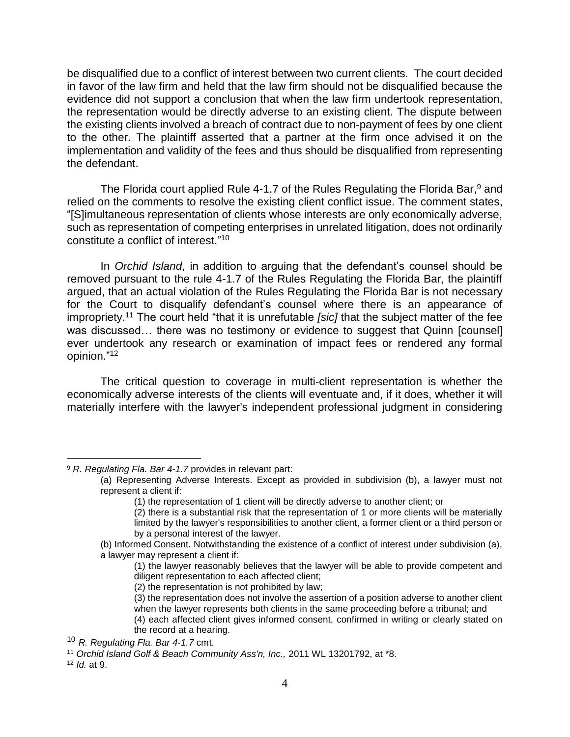be disqualified due to a conflict of interest between two current clients. The court decided in favor of the law firm and held that the law firm should not be disqualified because the evidence did not support a conclusion that when the law firm undertook representation, the representation would be directly adverse to an existing client. The dispute between the existing clients involved a breach of contract due to non-payment of fees by one client to the other. The plaintiff asserted that a partner at the firm once advised it on the implementation and validity of the fees and thus should be disqualified from representing the defendant.

The Florida court applied Rule 4-1.7 of the Rules Regulating the Florida Bar,<sup>9</sup> and relied on the comments to resolve the existing client conflict issue. The comment states, "[S]imultaneous representation of clients whose interests are only economically adverse, such as representation of competing enterprises in unrelated litigation, does not ordinarily constitute a conflict of interest." 10

In *Orchid Island*, in addition to arguing that the defendant's counsel should be removed pursuant to the rule 4-1.7 of the Rules Regulating the Florida Bar, the plaintiff argued, that an actual violation of the Rules Regulating the Florida Bar is not necessary for the Court to disqualify defendant's counsel where there is an appearance of impropriety.<sup>11</sup> The court held "that it is unrefutable *[sic]* that the subject matter of the fee was discussed... there was no testimony or evidence to suggest that Quinn [counsel] ever undertook any research or examination of impact fees or rendered any formal opinion." 12

The critical question to coverage in multi-client representation is whether the economically adverse interests of the clients will eventuate and, if it does, whether it will materially interfere with the lawyer's independent professional judgment in considering

(1) the lawyer reasonably believes that the lawyer will be able to provide competent and diligent representation to each affected client;

(3) the representation does not involve the assertion of a position adverse to another client when the lawyer represents both clients in the same proceeding before a tribunal; and

 <sup>9</sup> *R. Regulating Fla. Bar 4-1.7* provides in relevant part:

<sup>(</sup>a) Representing Adverse Interests. Except as provided in subdivision (b), a lawyer must not represent a client if:

<sup>(1)</sup> the representation of 1 client will be directly adverse to another client; or

<sup>(2)</sup> there is a substantial risk that the representation of 1 or more clients will be materially limited by the lawyer's responsibilities to another client, a former client or a third person or by a personal interest of the lawyer.

<sup>(</sup>b) Informed Consent. Notwithstanding the existence of a conflict of interest under subdivision (a), a lawyer may represent a client if:

<sup>(2)</sup> the representation is not prohibited by law;

<sup>(4)</sup> each affected client gives informed consent, confirmed in writing or clearly stated on the record at a hearing.

<sup>10</sup> *R. Regulating Fla. Bar 4-1.7* cmt.

<sup>11</sup> *Orchid Island Golf & Beach Community Ass'n, Inc.,* 2011 WL 13201792, at \*8.

<sup>12</sup> *Id.* at 9.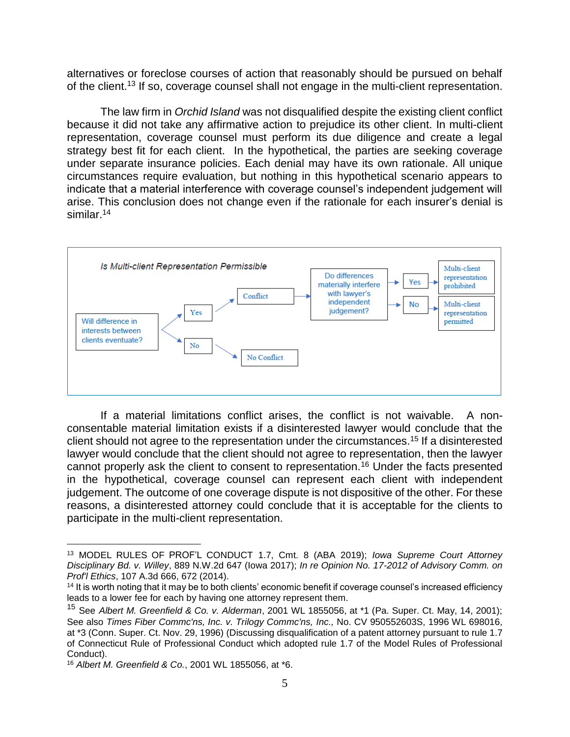alternatives or foreclose courses of action that reasonably should be pursued on behalf of the client.<sup>13</sup> If so, coverage counsel shall not engage in the multi-client representation.

The law firm in *Orchid Island* was not disqualified despite the existing client conflict because it did not take any affirmative action to prejudice its other client. In multi-client representation, coverage counsel must perform its due diligence and create a legal strategy best fit for each client. In the hypothetical, the parties are seeking coverage under separate insurance policies. Each denial may have its own rationale. All unique circumstances require evaluation, but nothing in this hypothetical scenario appears to indicate that a material interference with coverage counsel's independent judgement will arise. This conclusion does not change even if the rationale for each insurer's denial is similar. 14



If a material limitations conflict arises, the conflict is not waivable. A nonconsentable material limitation exists if a disinterested lawyer would conclude that the client should not agree to the representation under the circumstances.<sup>15</sup> If a disinterested lawyer would conclude that the client should not agree to representation, then the lawyer cannot properly ask the client to consent to representation.<sup>16</sup> Under the facts presented in the hypothetical, coverage counsel can represent each client with independent judgement. The outcome of one coverage dispute is not dispositive of the other. For these reasons, a disinterested attorney could conclude that it is acceptable for the clients to participate in the multi-client representation.

<sup>13</sup> MODEL RULES OF PROF'L CONDUCT 1.7, Cmt. 8 (ABA 2019); *Iowa Supreme Court Attorney Disciplinary Bd. v. Willey*, 889 N.W.2d 647 (Iowa 2017); *In re Opinion No. 17-2012 of Advisory Comm. on Prof'l Ethics*, 107 A.3d 666, 672 (2014).

<sup>&</sup>lt;sup>14</sup> It is worth noting that it may be to both clients' economic benefit if coverage counsel's increased efficiency leads to a lower fee for each by having one attorney represent them.

<sup>15</sup> See *Albert M. Greenfield & Co. v. Alderman*, 2001 WL 1855056, at \*1 (Pa. Super. Ct. May, 14, 2001); See also *Times Fiber Commc'ns, Inc. v. Trilogy Commc'ns, Inc.,* No. CV 950552603S, 1996 WL 698016, at \*3 (Conn. Super. Ct. Nov. 29, 1996) (Discussing disqualification of a patent attorney pursuant to rule 1.7 of Connecticut Rule of Professional Conduct which adopted rule 1.7 of the Model Rules of Professional Conduct).

<sup>16</sup> *Albert M. Greenfield & Co.*, 2001 WL 1855056, at \*6.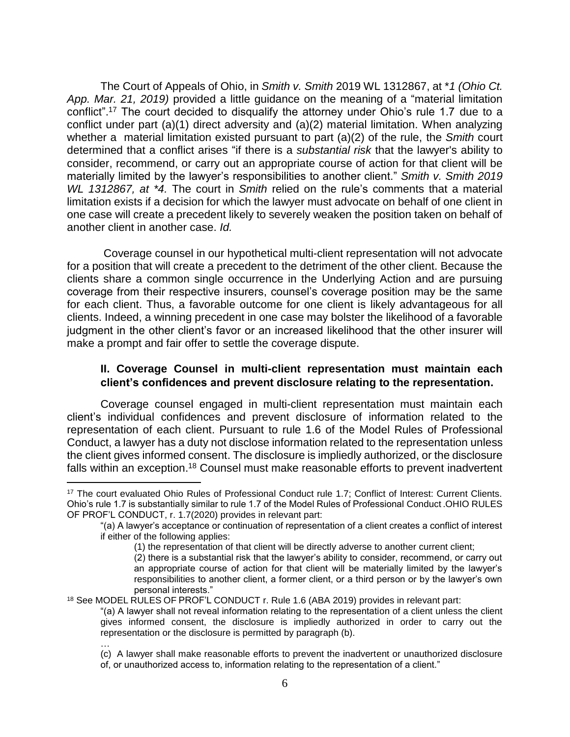The Court of Appeals of Ohio, in *Smith v. Smith* 2019 WL 1312867, at \**1 (Ohio Ct. App. Mar. 21, 2019)* provided a little guidance on the meaning of a "material limitation conflict".<sup>17</sup> The court decided to disqualify the attorney under Ohio's rule 1.7 due to a conflict under part (a)(1) direct adversity and (a)(2) material limitation. When analyzing whether a material limitation existed pursuant to part (a)(2) of the rule, the *Smith* court determined that a conflict arises "if there is a *substantial risk* that the lawyer's ability to consider, recommend, or carry out an appropriate course of action for that client will be materially limited by the lawyer's responsibilities to another client." *Smith v. Smith 2019 WL 1312867, at \*4.* The court in *Smith* relied on the rule's comments that a material limitation exists if a decision for which the lawyer must advocate on behalf of one client in one case will create a precedent likely to severely weaken the position taken on behalf of another client in another case. *Id.*

Coverage counsel in our hypothetical multi-client representation will not advocate for a position that will create a precedent to the detriment of the other client. Because the clients share a common single occurrence in the Underlying Action and are pursuing coverage from their respective insurers, counsel's coverage position may be the same for each client. Thus, a favorable outcome for one client is likely advantageous for all clients. Indeed, a winning precedent in one case may bolster the likelihood of a favorable judgment in the other client's favor or an increased likelihood that the other insurer will make a prompt and fair offer to settle the coverage dispute.

# **II. Coverage Counsel in multi-client representation must maintain each client's confidences and prevent disclosure relating to the representation.**

Coverage counsel engaged in multi-client representation must maintain each client's individual confidences and prevent disclosure of information related to the representation of each client. Pursuant to rule 1.6 of the Model Rules of Professional Conduct, a lawyer has a duty not disclose information related to the representation unless the client gives informed consent. The disclosure is impliedly authorized, or the disclosure falls within an exception.<sup>18</sup> Counsel must make reasonable efforts to prevent inadvertent

 $\overline{a}$ 

<sup>17</sup> The court evaluated Ohio Rules of Professional Conduct rule 1.7; Conflict of Interest: Current Clients. Ohio's rule 1.7 is substantially similar to rule 1.7 of the Model Rules of Professional Conduct .OHIO RULES OF PROF'L CONDUCT, r. 1.7(2020) provides in relevant part:

<sup>&</sup>quot;(a) A lawyer's acceptance or continuation of representation of a client creates a conflict of interest if either of the following applies:

<sup>(1)</sup> the representation of that client will be directly adverse to another current client;

<sup>(2)</sup> there is a substantial risk that the lawyer's ability to consider, recommend, or carry out an appropriate course of action for that client will be materially limited by the lawyer's responsibilities to another client, a former client, or a third person or by the lawyer's own personal interests."

<sup>&</sup>lt;sup>18</sup> See MODEL RULES OF PROF'L CONDUCT r. Rule 1.6 (ABA 2019) provides in relevant part:

<sup>&</sup>quot;(a) A lawyer shall not reveal information relating to the representation of a client unless the client gives informed consent, the disclosure is impliedly authorized in order to carry out the representation or the disclosure is permitted by paragraph (b). …

<sup>(</sup>c) A lawyer shall make reasonable efforts to prevent the inadvertent or unauthorized disclosure of, or unauthorized access to, information relating to the representation of a client."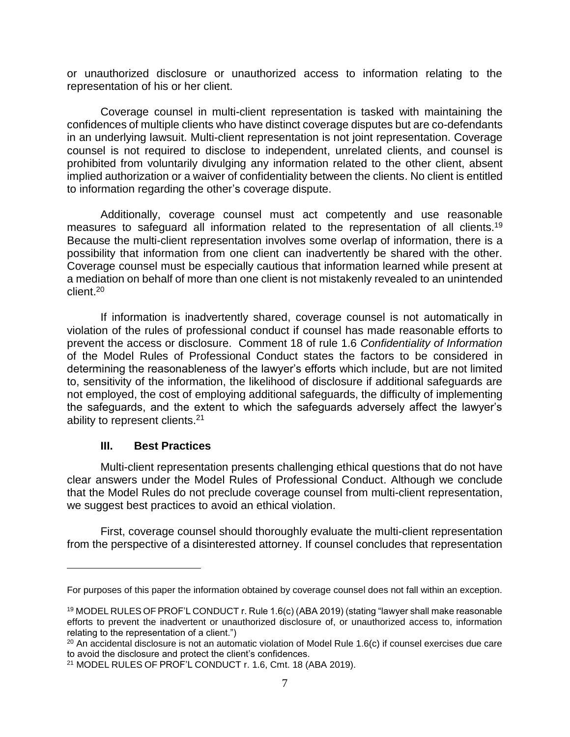or unauthorized disclosure or unauthorized access to information relating to the representation of his or her client.

Coverage counsel in multi-client representation is tasked with maintaining the confidences of multiple clients who have distinct coverage disputes but are co-defendants in an underlying lawsuit. Multi-client representation is not joint representation. Coverage counsel is not required to disclose to independent, unrelated clients, and counsel is prohibited from voluntarily divulging any information related to the other client, absent implied authorization or a waiver of confidentiality between the clients. No client is entitled to information regarding the other's coverage dispute.

Additionally, coverage counsel must act competently and use reasonable measures to safeguard all information related to the representation of all clients.<sup>19</sup> Because the multi-client representation involves some overlap of information, there is a possibility that information from one client can inadvertently be shared with the other. Coverage counsel must be especially cautious that information learned while present at a mediation on behalf of more than one client is not mistakenly revealed to an unintended client.<sup>20</sup>

If information is inadvertently shared, coverage counsel is not automatically in violation of the rules of professional conduct if counsel has made reasonable efforts to prevent the access or disclosure. Comment 18 of rule 1.6 *Confidentiality of Information* of the Model Rules of Professional Conduct states the factors to be considered in determining the reasonableness of the lawyer's efforts which include, but are not limited to, sensitivity of the information, the likelihood of disclosure if additional safeguards are not employed, the cost of employing additional safeguards, the difficulty of implementing the safeguards, and the extent to which the safeguards adversely affect the lawyer's ability to represent clients.<sup>21</sup>

# **III. Best Practices**

Multi-client representation presents challenging ethical questions that do not have clear answers under the Model Rules of Professional Conduct. Although we conclude that the Model Rules do not preclude coverage counsel from multi-client representation, we suggest best practices to avoid an ethical violation.

First, coverage counsel should thoroughly evaluate the multi-client representation from the perspective of a disinterested attorney. If counsel concludes that representation

For purposes of this paper the information obtained by coverage counsel does not fall within an exception.

<sup>19</sup> MODEL RULES OF PROF'L CONDUCT r. Rule 1.6(c) (ABA 2019) (stating "lawyer shall make reasonable efforts to prevent the inadvertent or unauthorized disclosure of, or unauthorized access to, information relating to the representation of a client.")

 $20$  An accidental disclosure is not an automatic violation of Model Rule 1.6(c) if counsel exercises due care to avoid the disclosure and protect the client's confidences.

<sup>21</sup> MODEL RULES OF PROF'L CONDUCT r. 1.6, Cmt. 18 (ABA 2019).